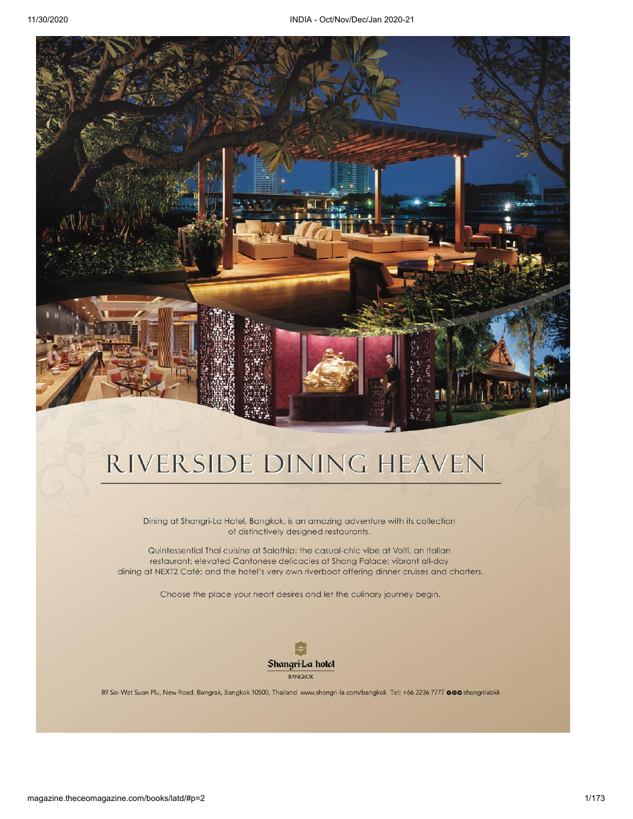

## RIVERSIDE DINING HEAVEN

Dining at Shangri-La Hotel, Bangkok, is an amazing adventure with its collection of distinctively designed restaurants.

Quintessential Thai cuisine at Salathip; the casual-chic vibe at Volti, an Italian restaurant; elevated Cantonese delicacies at Shang Palace; vibrant all-day dining at NEXT2 Café; and the hotel's very own riverboat offering dinner cruises and charters.

Choose the place your heart desires and let the culinary journey begin.



89 Soi Wat Suan Plu, New Road, Bangrak, Bangkok 10500, Thailand www.shangri-la.com/bangkok Tel: +66 2236 7777 000 shangrilabkk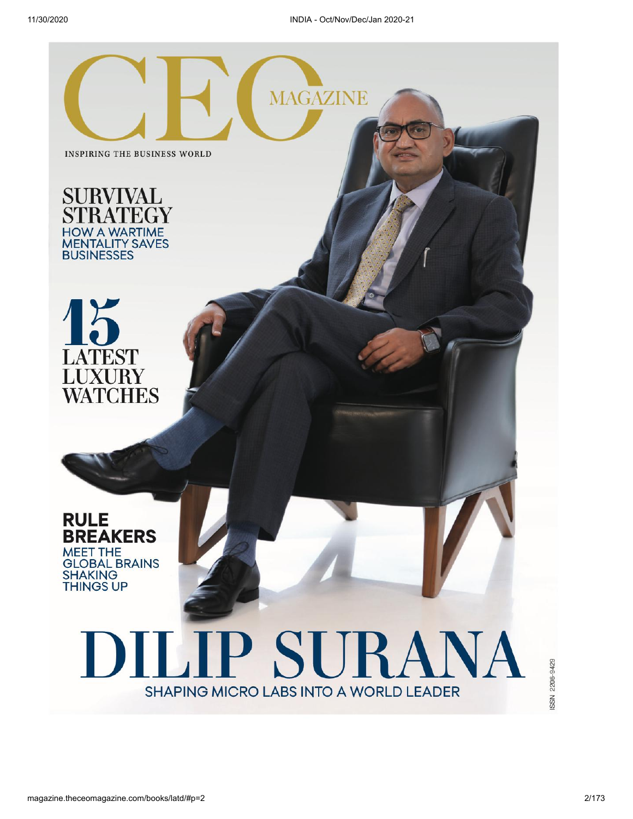

SSN 2206-9429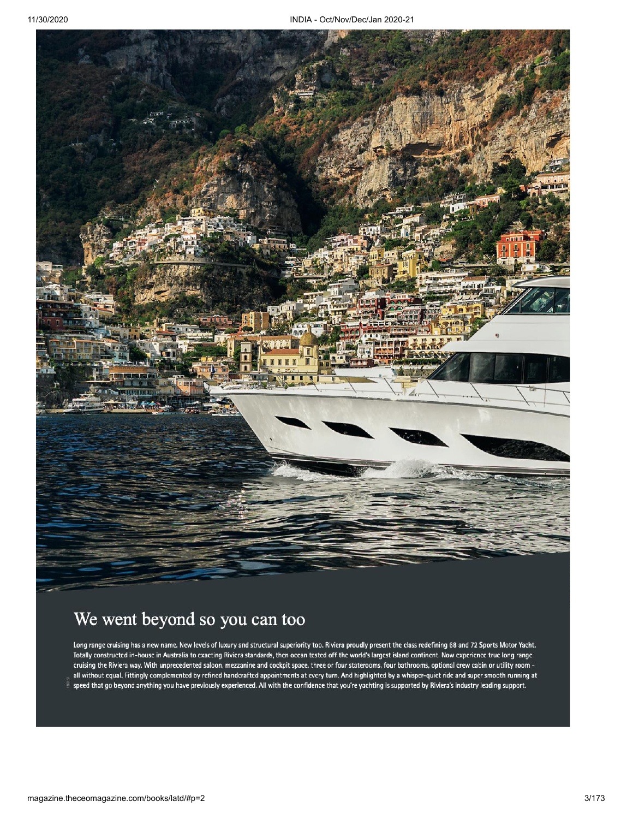

## We went beyond so you can too

Long range cruising has a new name. New levels of luxury and structural superiority too. Riviera proudly present the class redefining 68 and 72 Sports Motor Yacht. Totally constructed in-house in Australia to exacting Riviera standards, then ocean tested off the world's largest island continent. Now experience true long range cruising the Riviera way. With unprecedented saloon, mezzanine and cockpit space, three or four staterooms, four bathrooms, optional crew cabin or utility room all without equal. Fittingly complemented by refined handcrafted appointments at every turn. And highlighted by a whisper-quiet ride and super smooth running at speed that go beyond anything you have previously experienced. All with the confidence that you're yachting is supported by Riviera's industry leading support.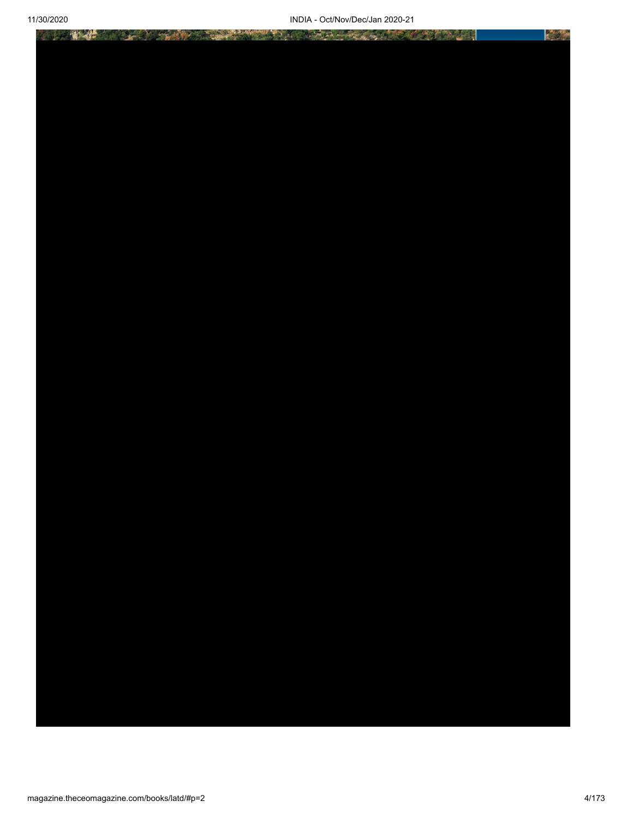